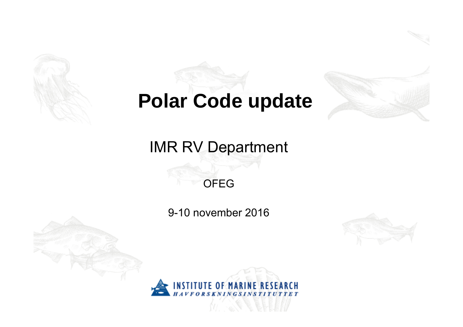

# **Polar Code update**



## IMR RV Department

### OFEG

9-10 november 2016



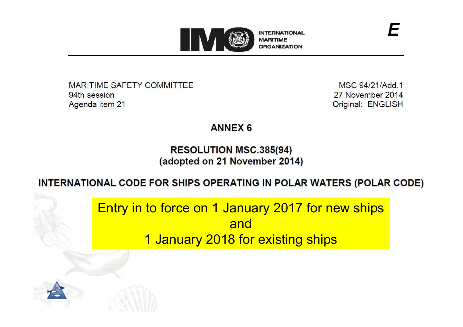

**MARITIME SAFETY COMMITTEE** 94th session Agenda item 21

MSC 94/21/Add.1 27 November 2014 Original: ENGLISH

#### **ANNEX 6**

#### **RESOLUTION MSC.385(94)** (adopted on 21 November 2014)

#### INTERNATIONAL CODE FOR SHIPS OPERATING IN POLAR WATERS (POLAR CODE)

Entry in to force on 1 January 2017 for new ships and 1 January 2018 for existing ships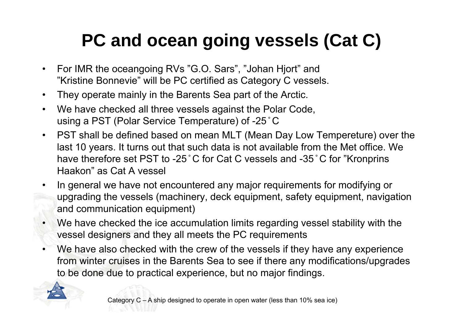# **PC and ocean going vessels (Cat C)**

- For IMR the oceangoing RVs "G.O. Sars", "Johan Hjort" and "Kristine Bonnevie" will be PC certified as Category C vessels.
- They operate mainly in the Barents Sea part of the Arctic.
- We have checked all three vessels against the Polar Code, using a PST (Polar Service Temperature) of -25 ̊C
- PST shall be defined based on mean MLT (Mean Day Low Tempereture) over the last 10 years. It turns out that such data is not available from the Met office. We have therefore set PST to -25 °C for Cat C vessels and -35 °C for "Kronprins Haakon" as Cat A vessel
- • In general we have not encountered any major requirements for modifying or upgrading the vessels (machinery, deck equipment, safety equipment, navigation and communication equipment)
- We have checked the ice accumulation limits regarding vessel stability with the vessel designers and they all meets the PC requirements
- •We have also checked with the crew of the vessels if they have any experience from winter cruises in the Barents Sea to see if there any modifications/upgrades to be done due to practical experience, but no major findings.

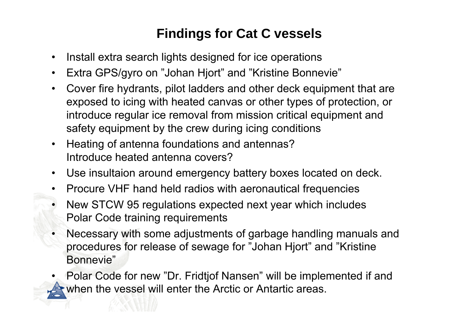### **Findings for Cat C vessels**

- •Install extra search lights designed for ice operations
- •Extra GPS/gyro on "Johan Hjort" and "Kristine Bonnevie"
- • Cover fire hydrants, pilot ladders and other deck equipment that are exposed to icing with heated canvas or other types of protection, or introduce regular ice removal from mission critical equipment and safety equipment by the crew during icing conditions
- • Heating of antenna foundations and antennas? Introduce heated antenna covers?
- $\bullet$ Use insultaion around emergency battery boxes located on deck.
- •Procure VHF hand held radios with aeronautical frequencies
- • New STCW 95 regulations expected next year which includes Polar Code training requirements
- • Necessary with some adjustments of garbage handling manuals and procedures for release of sewage for "Johan Hjort" and "Kristine Bonnevie"
- • Polar Code for new "Dr. Fridtjof Nansen" will be implemented if and when the vessel will enter the Arctic or Antartic areas.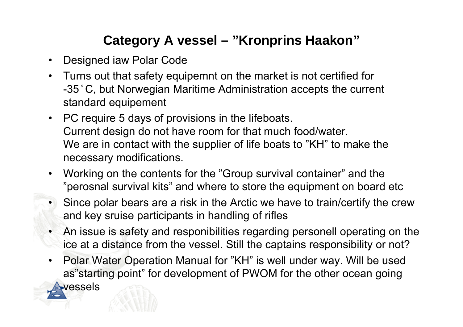## **Category A vessel – "Kronprins Haakon"**

- $\bullet$ Designed iaw Polar Code
- • Turns out that safety equipemnt on the market is not certified for -35 ̊C, but Norwegian Maritime Administration accepts the current standard equipement
- • PC require 5 days of provisions in the lifeboats. Current design do not have room for that much food/water. We are in contact with the supplier of life boats to "KH" to make the necessary modifications.
- • Working on the contents for the "Group survival container" and the "perosnal survival kits" and where to store the equipment on board etc
- Since polar bears are a risk in the Arctic we have to train/certify the crew and key sruise participants in handling of rifles
- An issue is safety and responibilities regarding personell operating on the ice at a distance from the vessel. Still the captains responsibility or not?
- • Polar Water Operation Manual for "KH" is well under way. Will be used as"starting point" for development of PWOM for the other ocean going **vessels**